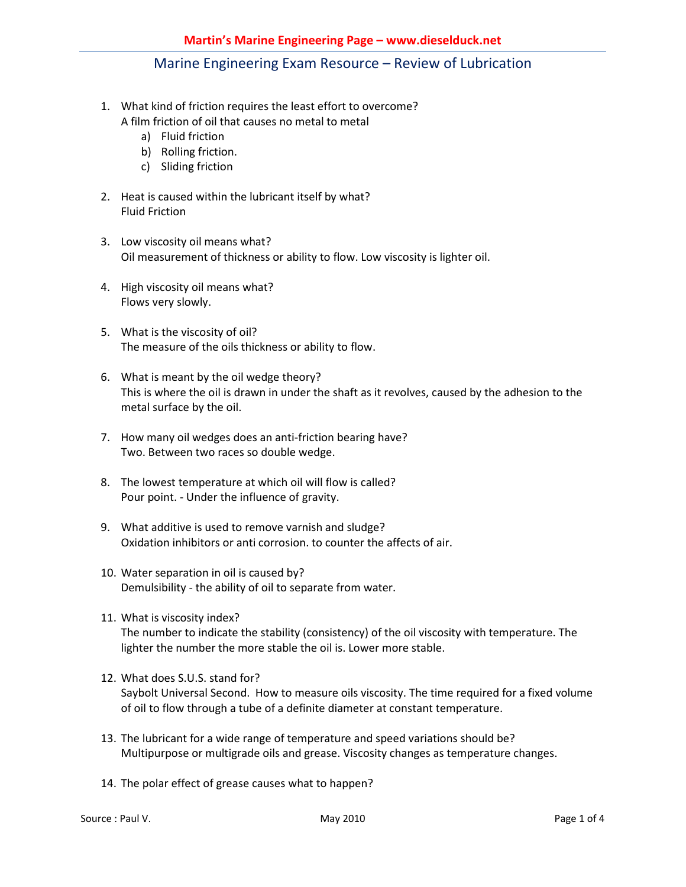- 1. What kind of friction requires the least effort to overcome? A film friction of oil that causes no metal to metal
	- a) Fluid friction
	- b) Rolling friction.
	- c) Sliding friction
- 2. Heat is caused within the lubricant itself by what? Fluid Friction
- 3. Low viscosity oil means what? Oil measurement of thickness or ability to flow. Low viscosity is lighter oil.
- 4. High viscosity oil means what? Flows very slowly.
- 5. What is the viscosity of oil? The measure of the oils thickness or ability to flow.
- 6. What is meant by the oil wedge theory? This is where the oil is drawn in under the shaft as it revolves, caused by the adhesion to the metal surface by the oil.
- 7. How many oil wedges does an anti-friction bearing have? Two. Between two races so double wedge.
- 8. The lowest temperature at which oil will flow is called? Pour point. - Under the influence of gravity.
- 9. What additive is used to remove varnish and sludge? Oxidation inhibitors or anti corrosion. to counter the affects of air.
- 10. Water separation in oil is caused by? Demulsibility - the ability of oil to separate from water.
- 11. What is viscosity index? The number to indicate the stability (consistency) of the oil viscosity with temperature. The lighter the number the more stable the oil is. Lower more stable.
- 12. What does S.U.S. stand for? Saybolt Universal Second. How to measure oils viscosity. The time required for a fixed volume of oil to flow through a tube of a definite diameter at constant temperature.
- 13. The lubricant for a wide range of temperature and speed variations should be? Multipurpose or multigrade oils and grease. Viscosity changes as temperature changes.
- 14. The polar effect of grease causes what to happen?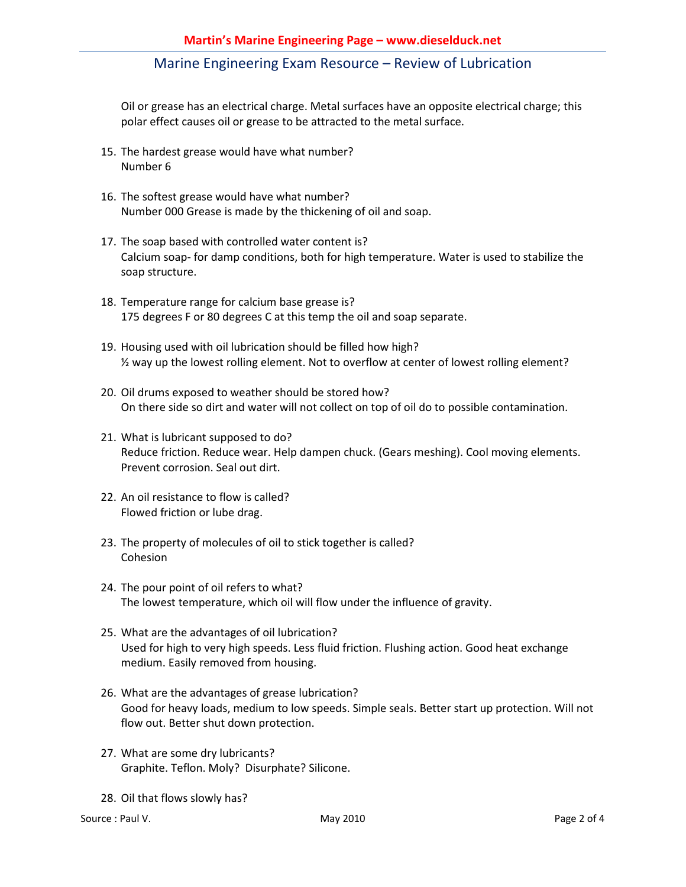Oil or grease has an electrical charge. Metal surfaces have an opposite electrical charge; this polar effect causes oil or grease to be attracted to the metal surface.

- 15. The hardest grease would have what number? Number 6
- 16. The softest grease would have what number? Number 000 Grease is made by the thickening of oil and soap.
- 17. The soap based with controlled water content is? Calcium soap- for damp conditions, both for high temperature. Water is used to stabilize the soap structure.
- 18. Temperature range for calcium base grease is? 175 degrees F or 80 degrees C at this temp the oil and soap separate.
- 19. Housing used with oil lubrication should be filled how high? ½ way up the lowest rolling element. Not to overflow at center of lowest rolling element?
- 20. Oil drums exposed to weather should be stored how? On there side so dirt and water will not collect on top of oil do to possible contamination.
- 21. What is lubricant supposed to do? Reduce friction. Reduce wear. Help dampen chuck. (Gears meshing). Cool moving elements. Prevent corrosion. Seal out dirt.
- 22. An oil resistance to flow is called? Flowed friction or lube drag.
- 23. The property of molecules of oil to stick together is called? Cohesion
- 24. The pour point of oil refers to what? The lowest temperature, which oil will flow under the influence of gravity.
- 25. What are the advantages of oil lubrication? Used for high to very high speeds. Less fluid friction. Flushing action. Good heat exchange medium. Easily removed from housing.
- 26. What are the advantages of grease lubrication? Good for heavy loads, medium to low speeds. Simple seals. Better start up protection. Will not flow out. Better shut down protection.
- 27. What are some dry lubricants? Graphite. Teflon. Moly? Disurphate? Silicone.
- 28. Oil that flows slowly has?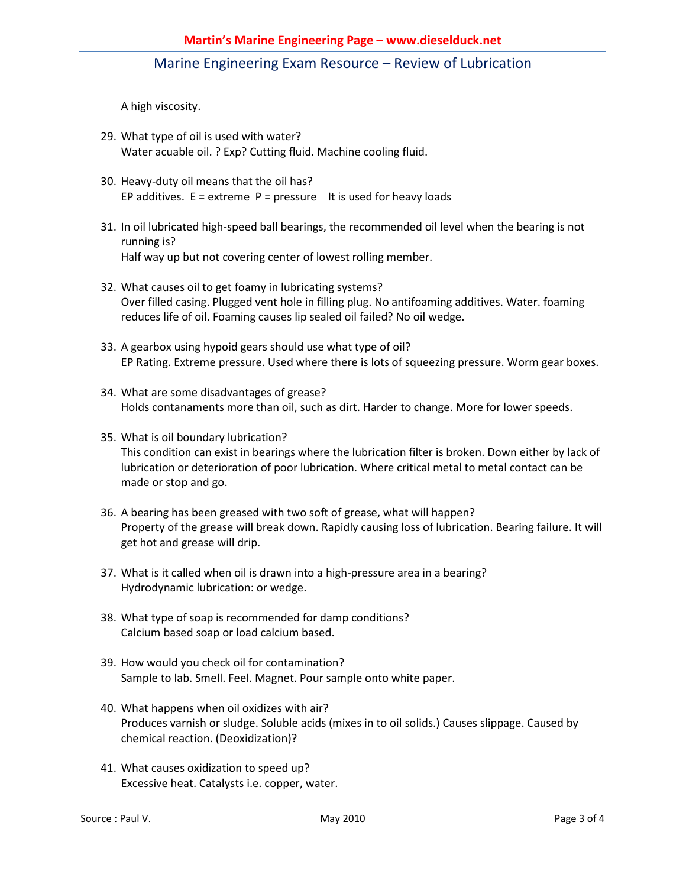A high viscosity.

- 29. What type of oil is used with water? Water acuable oil. ? Exp? Cutting fluid. Machine cooling fluid.
- 30. Heavy-duty oil means that the oil has? EP additives.  $E =$  extreme  $P =$  pressure It is used for heavy loads
- 31. In oil lubricated high-speed ball bearings, the recommended oil level when the bearing is not running is? Half way up but not covering center of lowest rolling member.
- 32. What causes oil to get foamy in lubricating systems? Over filled casing. Plugged vent hole in filling plug. No antifoaming additives. Water. foaming reduces life of oil. Foaming causes lip sealed oil failed? No oil wedge.
- 33. A gearbox using hypoid gears should use what type of oil? EP Rating. Extreme pressure. Used where there is lots of squeezing pressure. Worm gear boxes.
- 34. What are some disadvantages of grease? Holds contanaments more than oil, such as dirt. Harder to change. More for lower speeds.
- 35. What is oil boundary lubrication? This condition can exist in bearings where the lubrication filter is broken. Down either by lack of lubrication or deterioration of poor lubrication. Where critical metal to metal contact can be made or stop and go.
- 36. A bearing has been greased with two soft of grease, what will happen? Property of the grease will break down. Rapidly causing loss of lubrication. Bearing failure. It will get hot and grease will drip.
- 37. What is it called when oil is drawn into a high-pressure area in a bearing? Hydrodynamic lubrication: or wedge.
- 38. What type of soap is recommended for damp conditions? Calcium based soap or load calcium based.
- 39. How would you check oil for contamination? Sample to lab. Smell. Feel. Magnet. Pour sample onto white paper.
- 40. What happens when oil oxidizes with air? Produces varnish or sludge. Soluble acids (mixes in to oil solids.) Causes slippage. Caused by chemical reaction. (Deoxidization)?
- 41. What causes oxidization to speed up? Excessive heat. Catalysts i.e. copper, water.